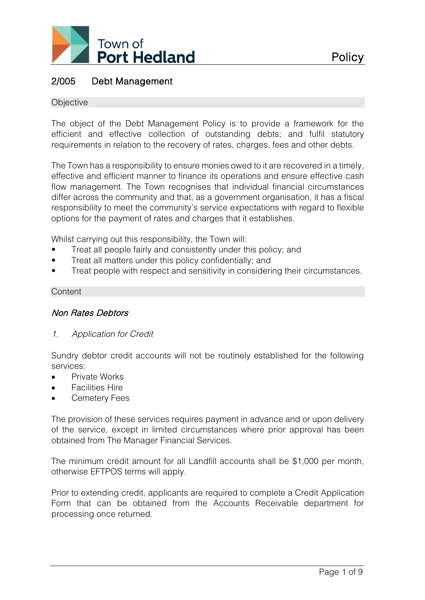

# 2/005 Debt Management

#### **Objective**

The object of the Debt Management Policy is to provide a framework for the efficient and effective collection of outstanding debts; and fulfil statutory requirements in relation to the recovery of rates, charges, fees and other debts.

The Town has a responsibility to ensure monies owed to it are recovered in a timely, effective and efficient manner to finance its operations and ensure effective cash flow management. The Town recognises that individual financial circumstances differ across the community and that, as a government organisation, it has a fiscal responsibility to meet the community's service expectations with regard to flexible options for the payment of rates and charges that it establishes.

Whilst carrying out this responsibility, the Town will:

- Treat all people fairly and consistently under this policy; and
- Treat all matters under this policy confidentially; and
- Treat people with respect and sensitivity in considering their circumstances.

#### **Content**

## Non Rates Debtors

*1. Application for Credit*

Sundry debtor credit accounts will not be routinely established for the following services:

- Private Works
- Facilities Hire
- Cemetery Fees

The provision of these services requires payment in advance and or upon delivery of the service, except in limited circumstances where prior approval has been obtained from The Manager Financial Services.

The minimum credit amount for all Landfill accounts shall be \$1,000 per month, otherwise EFTPOS terms will apply.

Prior to extending credit, applicants are required to complete a Credit Application Form that can be obtained from the Accounts Receivable department for processing once returned.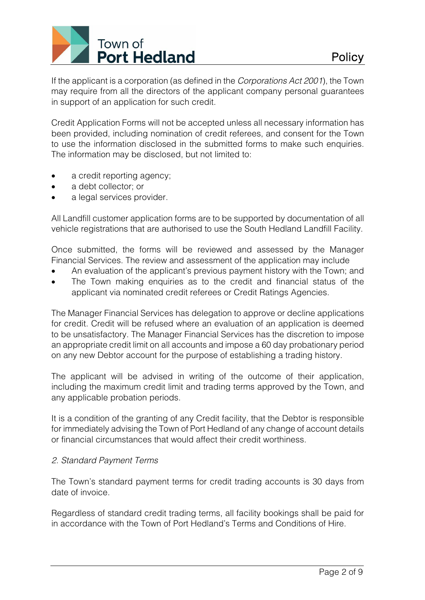# Town of **Port Hedland**

If the applicant is a corporation (as defined in the *Corporations Act 2001*), the Town may require from all the directors of the applicant company personal guarantees in support of an application for such credit.

Credit Application Forms will not be accepted unless all necessary information has been provided, including nomination of credit referees, and consent for the Town to use the information disclosed in the submitted forms to make such enquiries. The information may be disclosed, but not limited to:

- a credit reporting agency:
- a debt collector; or
- a legal services provider.

All Landfill customer application forms are to be supported by documentation of all vehicle registrations that are authorised to use the South Hedland Landfill Facility.

Once submitted, the forms will be reviewed and assessed by the Manager Financial Services. The review and assessment of the application may include

- An evaluation of the applicant's previous payment history with the Town; and
- The Town making enquiries as to the credit and financial status of the applicant via nominated credit referees or Credit Ratings Agencies.

The Manager Financial Services has delegation to approve or decline applications for credit. Credit will be refused where an evaluation of an application is deemed to be unsatisfactory. The Manager Financial Services has the discretion to impose an appropriate credit limit on all accounts and impose a 60 day probationary period on any new Debtor account for the purpose of establishing a trading history.

The applicant will be advised in writing of the outcome of their application, including the maximum credit limit and trading terms approved by the Town, and any applicable probation periods.

It is a condition of the granting of any Credit facility, that the Debtor is responsible for immediately advising the Town of Port Hedland of any change of account details or financial circumstances that would affect their credit worthiness.

# *2. Standard Payment Terms*

The Town's standard payment terms for credit trading accounts is 30 days from date of invoice.

Regardless of standard credit trading terms, all facility bookings shall be paid for in accordance with the Town of Port Hedland's Terms and Conditions of Hire.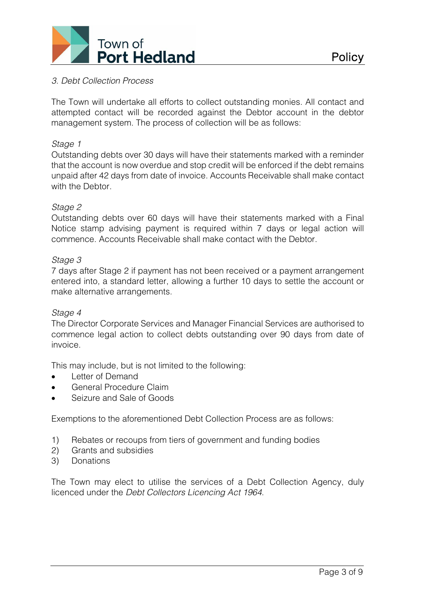

## *3. Debt Collection Process*

The Town will undertake all efforts to collect outstanding monies. All contact and attempted contact will be recorded against the Debtor account in the debtor management system. The process of collection will be as follows:

## *Stage 1*

Outstanding debts over 30 days will have their statements marked with a reminder that the account is now overdue and stop credit will be enforced if the debt remains unpaid after 42 days from date of invoice. Accounts Receivable shall make contact with the Debtor

## *Stage 2*

Outstanding debts over 60 days will have their statements marked with a Final Notice stamp advising payment is required within 7 days or legal action will commence. Accounts Receivable shall make contact with the Debtor.

## *Stage 3*

7 days after Stage 2 if payment has not been received or a payment arrangement entered into, a standard letter, allowing a further 10 days to settle the account or make alternative arrangements.

#### *Stage 4*

The Director Corporate Services and Manager Financial Services are authorised to commence legal action to collect debts outstanding over 90 days from date of invoice.

This may include, but is not limited to the following:

- Letter of Demand
- General Procedure Claim
- Seizure and Sale of Goods

Exemptions to the aforementioned Debt Collection Process are as follows:

- 1) Rebates or recoups from tiers of government and funding bodies
- 2) Grants and subsidies
- 3) Donations

The Town may elect to utilise the services of a Debt Collection Agency, duly licenced under the *Debt Collectors Licencing Act 1964*.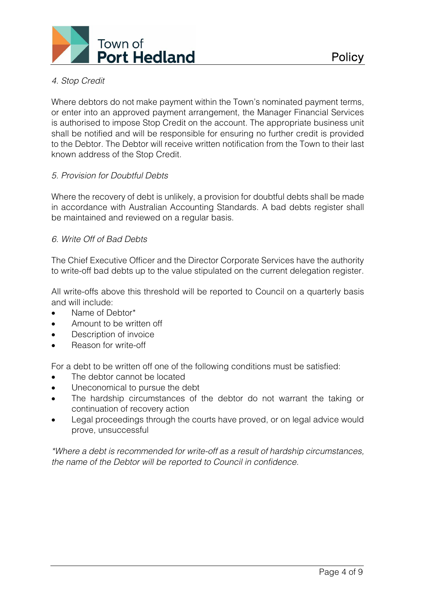

**Policy** 

Where debtors do not make payment within the Town's nominated payment terms, or enter into an approved payment arrangement, the Manager Financial Services is authorised to impose Stop Credit on the account. The appropriate business unit shall be notified and will be responsible for ensuring no further credit is provided to the Debtor. The Debtor will receive written notification from the Town to their last known address of the Stop Credit.

# *5. Provision for Doubtful Debts*

Where the recovery of debt is unlikely, a provision for doubtful debts shall be made in accordance with Australian Accounting Standards. A bad debts register shall be maintained and reviewed on a regular basis.

# *6. Write Off of Bad Debts*

The Chief Executive Officer and the Director Corporate Services have the authority to write-off bad debts up to the value stipulated on the current delegation register.

All write-offs above this threshold will be reported to Council on a quarterly basis and will include:

- Name of Debtor\*
- Amount to be written off
- Description of invoice
- Reason for write-off

For a debt to be written off one of the following conditions must be satisfied:

- The debtor cannot be located
- Uneconomical to pursue the debt
- The hardship circumstances of the debtor do not warrant the taking or continuation of recovery action
- Legal proceedings through the courts have proved, or on legal advice would prove, unsuccessful

*\*Where a debt is recommended for write-off as a result of hardship circumstances, the name of the Debtor will be reported to Council in confidence.*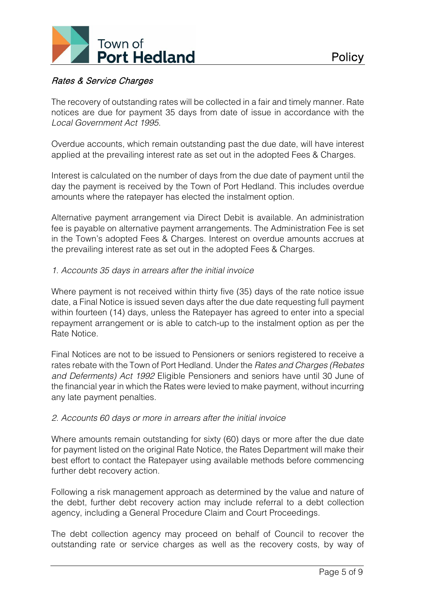

# Rates & Service Charges

The recovery of outstanding rates will be collected in a fair and timely manner. Rate notices are due for payment 35 days from date of issue in accordance with the *Local Government Act 1995*.

Overdue accounts, which remain outstanding past the due date, will have interest applied at the prevailing interest rate as set out in the adopted Fees & Charges.

Interest is calculated on the number of days from the due date of payment until the day the payment is received by the Town of Port Hedland. This includes overdue amounts where the ratepayer has elected the instalment option.

Alternative payment arrangement via Direct Debit is available. An administration fee is payable on alternative payment arrangements. The Administration Fee is set in the Town's adopted Fees & Charges. Interest on overdue amounts accrues at the prevailing interest rate as set out in the adopted Fees & Charges.

## *1. Accounts 35 days in arrears after the initial invoice*

Where payment is not received within thirty five (35) days of the rate notice issue date, a Final Notice is issued seven days after the due date requesting full payment within fourteen (14) days, unless the Ratepayer has agreed to enter into a special repayment arrangement or is able to catch-up to the instalment option as per the Rate Notice.

Final Notices are not to be issued to Pensioners or seniors registered to receive a rates rebate with the Town of Port Hedland. Under the *Rates and Charges (Rebates and Deferments) Act 1992* Eligible Pensioners and seniors have until 30 June of the financial year in which the Rates were levied to make payment, without incurring any late payment penalties.

## *2. Accounts 60 days or more in arrears after the initial invoice*

Where amounts remain outstanding for sixty (60) days or more after the due date for payment listed on the original Rate Notice, the Rates Department will make their best effort to contact the Ratepayer using available methods before commencing further debt recovery action.

Following a risk management approach as determined by the value and nature of the debt, further debt recovery action may include referral to a debt collection agency, including a General Procedure Claim and Court Proceedings.

The debt collection agency may proceed on behalf of Council to recover the outstanding rate or service charges as well as the recovery costs, by way of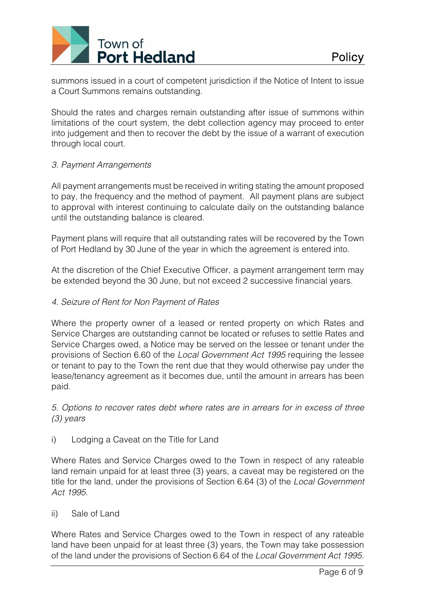

summons issued in a court of competent jurisdiction if the Notice of Intent to issue a Court Summons remains outstanding.

Should the rates and charges remain outstanding after issue of summons within limitations of the court system, the debt collection agency may proceed to enter into judgement and then to recover the debt by the issue of a warrant of execution through local court.

# *3. Payment Arrangements*

All payment arrangements must be received in writing stating the amount proposed to pay, the frequency and the method of payment. All payment plans are subject to approval with interest continuing to calculate daily on the outstanding balance until the outstanding balance is cleared.

Payment plans will require that all outstanding rates will be recovered by the Town of Port Hedland by 30 June of the year in which the agreement is entered into.

At the discretion of the Chief Executive Officer, a payment arrangement term may be extended beyond the 30 June, but not exceed 2 successive financial years.

## *4. Seizure of Rent for Non Payment of Rates*

Where the property owner of a leased or rented property on which Rates and Service Charges are outstanding cannot be located or refuses to settle Rates and Service Charges owed, a Notice may be served on the lessee or tenant under the provisions of Section 6.60 of the *Local Government Act 1995* requiring the lessee or tenant to pay to the Town the rent due that they would otherwise pay under the lease/tenancy agreement as it becomes due, until the amount in arrears has been paid.

*5. Options to recover rates debt where rates are in arrears for in excess of three (3) years* 

i) Lodging a Caveat on the Title for Land

Where Rates and Service Charges owed to the Town in respect of any rateable land remain unpaid for at least three (3) years, a caveat may be registered on the title for the land, under the provisions of Section 6.64 (3) of the *Local Government Act 1995*.

## ii) Sale of Land

Where Rates and Service Charges owed to the Town in respect of any rateable land have been unpaid for at least three (3) years, the Town may take possession of the land under the provisions of Section 6.64 of the *Local Government Act 1995*.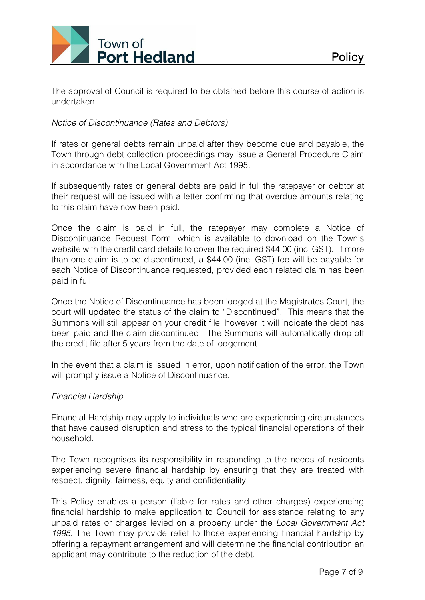

The approval of Council is required to be obtained before this course of action is undertaken.

# *Notice of Discontinuance (Rates and Debtors)*

If rates or general debts remain unpaid after they become due and payable, the Town through debt collection proceedings may issue a General Procedure Claim in accordance with the Local Government Act 1995.

If subsequently rates or general debts are paid in full the ratepayer or debtor at their request will be issued with a letter confirming that overdue amounts relating to this claim have now been paid.

Once the claim is paid in full, the ratepayer may complete a Notice of Discontinuance Request Form, which is available to download on the Town's website with the credit card details to cover the required \$44.00 (incl GST). If more than one claim is to be discontinued, a \$44.00 (incl GST) fee will be payable for each Notice of Discontinuance requested, provided each related claim has been paid in full.

Once the Notice of Discontinuance has been lodged at the Magistrates Court, the court will updated the status of the claim to "Discontinued". This means that the Summons will still appear on your credit file, however it will indicate the debt has been paid and the claim discontinued. The Summons will automatically drop off the credit file after 5 years from the date of lodgement.

In the event that a claim is issued in error, upon notification of the error, the Town will promptly issue a Notice of Discontinuance.

# *Financial Hardship*

Financial Hardship may apply to individuals who are experiencing circumstances that have caused disruption and stress to the typical financial operations of their household.

The Town recognises its responsibility in responding to the needs of residents experiencing severe financial hardship by ensuring that they are treated with respect, dignity, fairness, equity and confidentiality.

This Policy enables a person (liable for rates and other charges) experiencing financial hardship to make application to Council for assistance relating to any unpaid rates or charges levied on a property under the *Local Government Act 1995*. The Town may provide relief to those experiencing financial hardship by offering a repayment arrangement and will determine the financial contribution an applicant may contribute to the reduction of the debt.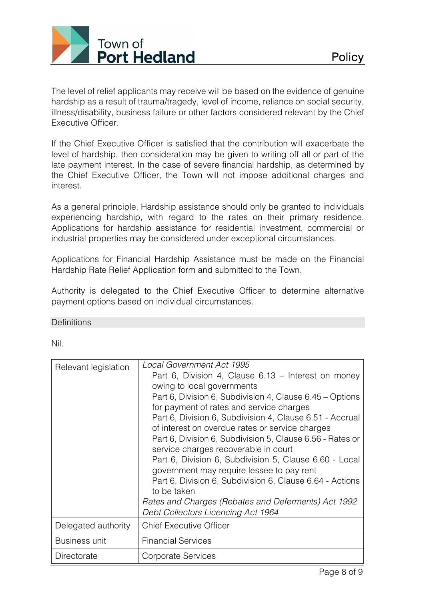

The level of relief applicants may receive will be based on the evidence of genuine hardship as a result of trauma/tragedy, level of income, reliance on social security, illness/disability, business failure or other factors considered relevant by the Chief Executive Officer.

If the Chief Executive Officer is satisfied that the contribution will exacerbate the level of hardship, then consideration may be given to writing off all or part of the late payment interest. In the case of severe financial hardship, as determined by the Chief Executive Officer, the Town will not impose additional charges and interest.

As a general principle, Hardship assistance should only be granted to individuals experiencing hardship, with regard to the rates on their primary residence. Applications for hardship assistance for residential investment, commercial or industrial properties may be considered under exceptional circumstances.

Applications for Financial Hardship Assistance must be made on the Financial Hardship Rate Relief Application form and submitted to the Town.

Authority is delegated to the Chief Executive Officer to determine alternative payment options based on individual circumstances.

**Definitions** 

Nil.

| Relevant legislation | Local Government Act 1995<br>Part 6, Division 4, Clause $6.13$ – Interest on money<br>owing to local governments<br>Part 6, Division 6, Subdivision 4, Clause 6.45 – Options<br>for payment of rates and service charges<br>Part 6, Division 6, Subdivision 4, Clause 6.51 - Accrual<br>of interest on overdue rates or service charges<br>Part 6, Division 6, Subdivision 5, Clause 6.56 - Rates or<br>service charges recoverable in court<br>Part 6, Division 6, Subdivision 5, Clause 6.60 - Local<br>government may require lessee to pay rent<br>Part 6, Division 6, Subdivision 6, Clause 6.64 - Actions<br>to be taken |  |  |
|----------------------|--------------------------------------------------------------------------------------------------------------------------------------------------------------------------------------------------------------------------------------------------------------------------------------------------------------------------------------------------------------------------------------------------------------------------------------------------------------------------------------------------------------------------------------------------------------------------------------------------------------------------------|--|--|
|                      | Rates and Charges (Rebates and Deferments) Act 1992<br>Debt Collectors Licencing Act 1964                                                                                                                                                                                                                                                                                                                                                                                                                                                                                                                                      |  |  |
| Delegated authority  | <b>Chief Executive Officer</b>                                                                                                                                                                                                                                                                                                                                                                                                                                                                                                                                                                                                 |  |  |
| <b>Business unit</b> | <b>Financial Services</b>                                                                                                                                                                                                                                                                                                                                                                                                                                                                                                                                                                                                      |  |  |
| Directorate          | Corporate Services                                                                                                                                                                                                                                                                                                                                                                                                                                                                                                                                                                                                             |  |  |